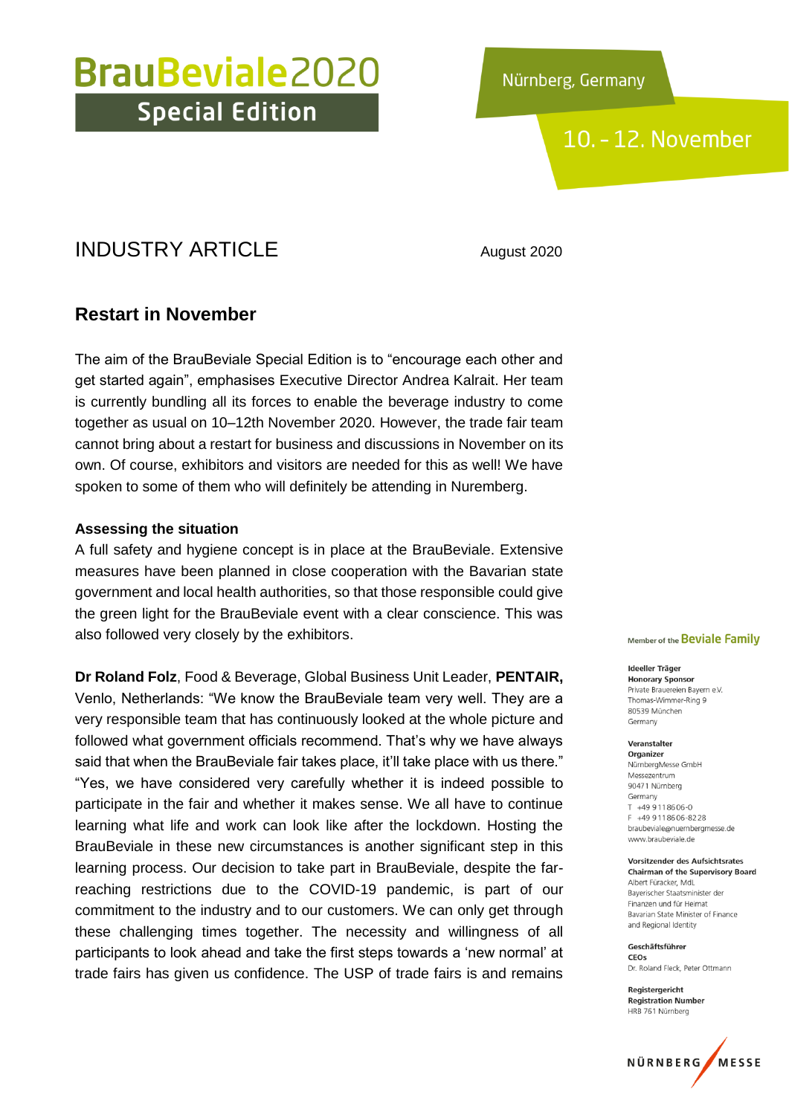## 10. - 12. November

## INDUSTRY ARTICLE August 2020

### **Restart in November**

The aim of the BrauBeviale Special Edition is to "encourage each other and get started again", emphasises Executive Director Andrea Kalrait. Her team is currently bundling all its forces to enable the beverage industry to come together as usual on 10–12th November 2020. However, the trade fair team cannot bring about a restart for business and discussions in November on its own. Of course, exhibitors and visitors are needed for this as well! We have spoken to some of them who will definitely be attending in Nuremberg.

#### **Assessing the situation**

A full safety and hygiene concept is in place at the BrauBeviale. Extensive measures have been planned in close cooperation with the Bavarian state government and local health authorities, so that those responsible could give the green light for the BrauBeviale event with a clear conscience. This was also followed very closely by the exhibitors.

**Dr Roland Folz**, Food & Beverage, Global Business Unit Leader, **PENTAIR,** Venlo, Netherlands: "We know the BrauBeviale team very well. They are a very responsible team that has continuously looked at the whole picture and followed what government officials recommend. That's why we have always said that when the BrauBeviale fair takes place, it'll take place with us there." "Yes, we have considered very carefully whether it is indeed possible to participate in the fair and whether it makes sense. We all have to continue learning what life and work can look like after the lockdown. Hosting the BrauBeviale in these new circumstances is another significant step in this learning process. Our decision to take part in BrauBeviale, despite the farreaching restrictions due to the COVID-19 pandemic, is part of our commitment to the industry and to our customers. We can only get through these challenging times together. The necessity and willingness of all participants to look ahead and take the first steps towards a 'new normal' at trade fairs has given us confidence. The USP of trade fairs is and remains

#### Member of the Beviale Family

Ideeller Träger **Honorary Sponsor** Private Brauereien Bayern e.V. Thomas-Wimmer-Ring 9 80539 München Germany

Veranstalter Organizer NürnbergMesse GmbH Messezentrum 90471 Nürnberg Germany  $T$  +49 9118606-0 F +49 9 11 86 06-82 28 braubeviale@nuernbergmesse.de www.braubeviale.de

Vorsitzender des Aufsichtsrates **Chairman of the Supervisory Board** Albert Füracker, MdL Bayerischer Staatsminister der Finanzen und für Heimat Bavarian State Minister of Finance and Regional Identity

Geschäftsführer CEOS Dr. Roland Eleck, Peter Ottmann

Registergericht **Registration Number** HRB 761 Nürnberg

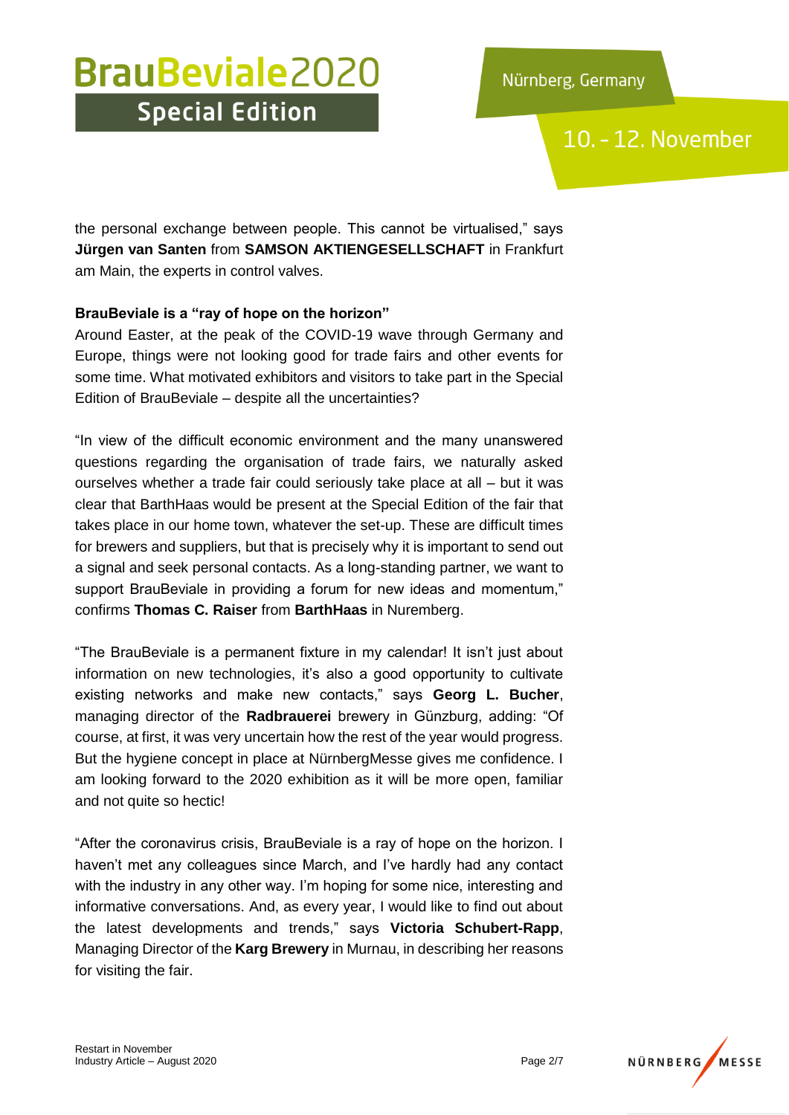10. - 12. November

the personal exchange between people. This cannot be virtualised," says **Jürgen van Santen** from **SAMSON AKTIENGESELLSCHAFT** in Frankfurt am Main, the experts in control valves.

### **BrauBeviale is a "ray of hope on the horizon"**

Around Easter, at the peak of the COVID-19 wave through Germany and Europe, things were not looking good for trade fairs and other events for some time. What motivated exhibitors and visitors to take part in the Special Edition of BrauBeviale – despite all the uncertainties?

"In view of the difficult economic environment and the many unanswered questions regarding the organisation of trade fairs, we naturally asked ourselves whether a trade fair could seriously take place at all – but it was clear that BarthHaas would be present at the Special Edition of the fair that takes place in our home town, whatever the set-up. These are difficult times for brewers and suppliers, but that is precisely why it is important to send out a signal and seek personal contacts. As a long-standing partner, we want to support BrauBeviale in providing a forum for new ideas and momentum," confirms **Thomas C. Raiser** from **BarthHaas** in Nuremberg.

"The BrauBeviale is a permanent fixture in my calendar! It isn't just about information on new technologies, it's also a good opportunity to cultivate existing networks and make new contacts," says **Georg L. Bucher**, managing director of the **Radbrauerei** brewery in Günzburg, adding: "Of course, at first, it was very uncertain how the rest of the year would progress. But the hygiene concept in place at NürnbergMesse gives me confidence. I am looking forward to the 2020 exhibition as it will be more open, familiar and not quite so hectic!

"After the coronavirus crisis, BrauBeviale is a ray of hope on the horizon. I haven't met any colleagues since March, and I've hardly had any contact with the industry in any other way. I'm hoping for some nice, interesting and informative conversations. And, as every year, I would like to find out about the latest developments and trends," says **Victoria Schubert-Rapp**, Managing Director of the **Karg Brewery** in Murnau, in describing her reasons for visiting the fair.

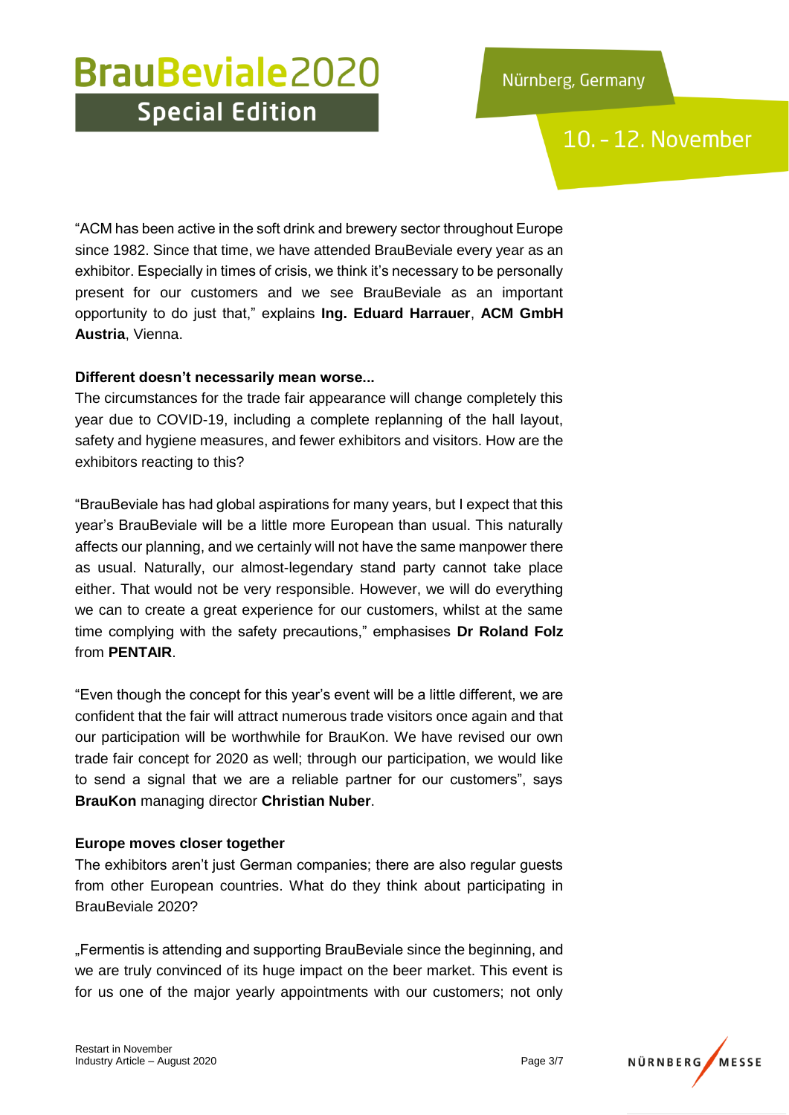10. - 12. November

"ACM has been active in the soft drink and brewery sector throughout Europe since 1982. Since that time, we have attended BrauBeviale every year as an exhibitor. Especially in times of crisis, we think it's necessary to be personally present for our customers and we see BrauBeviale as an important opportunity to do just that," explains **Ing. Eduard Harrauer**, **ACM GmbH Austria**, Vienna.

### **Different doesn't necessarily mean worse...**

The circumstances for the trade fair appearance will change completely this year due to COVID-19, including a complete replanning of the hall layout, safety and hygiene measures, and fewer exhibitors and visitors. How are the exhibitors reacting to this?

"BrauBeviale has had global aspirations for many years, but I expect that this year's BrauBeviale will be a little more European than usual. This naturally affects our planning, and we certainly will not have the same manpower there as usual. Naturally, our almost-legendary stand party cannot take place either. That would not be very responsible. However, we will do everything we can to create a great experience for our customers, whilst at the same time complying with the safety precautions," emphasises **Dr Roland Folz** from **PENTAIR**.

"Even though the concept for this year's event will be a little different, we are confident that the fair will attract numerous trade visitors once again and that our participation will be worthwhile for BrauKon. We have revised our own trade fair concept for 2020 as well; through our participation, we would like to send a signal that we are a reliable partner for our customers", says **BrauKon** managing director **Christian Nuber**.

#### **Europe moves closer together**

The exhibitors aren't just German companies; there are also regular guests from other European countries. What do they think about participating in BrauBeviale 2020?

"Fermentis is attending and supporting BrauBeviale since the beginning, and we are truly convinced of its huge impact on the beer market. This event is for us one of the major yearly appointments with our customers; not only

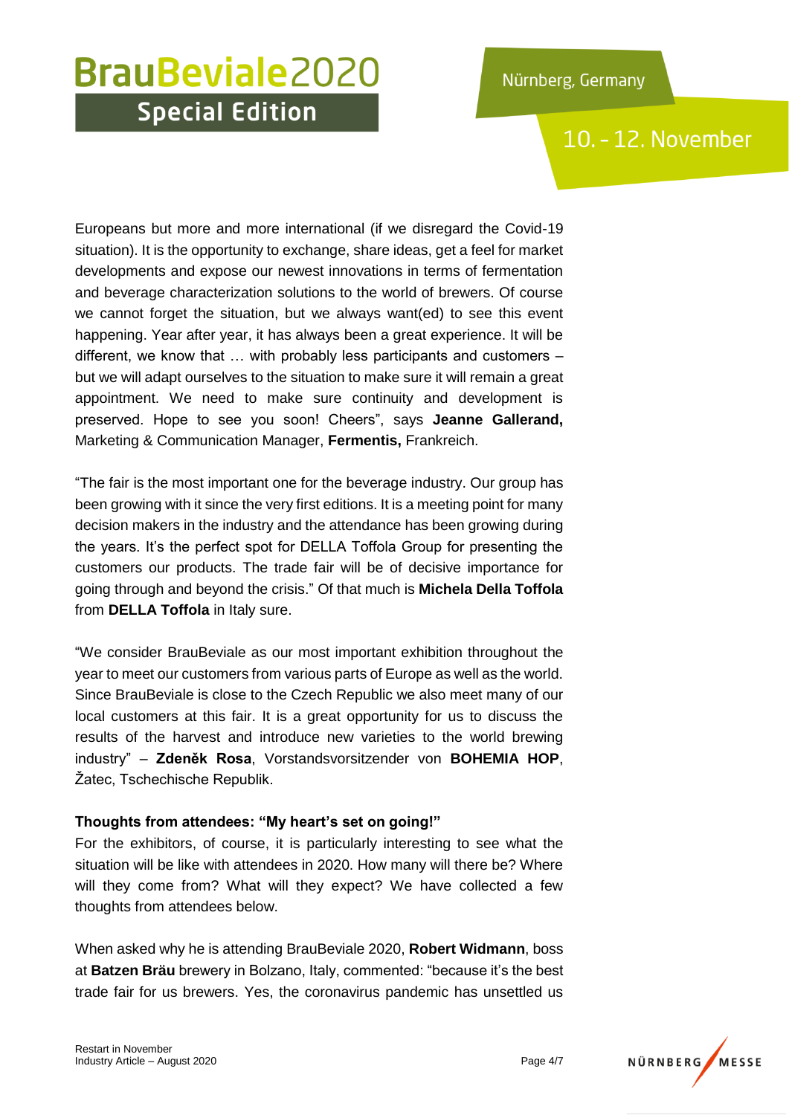10. - 12. November

Europeans but more and more international (if we disregard the Covid-19 situation). It is the opportunity to exchange, share ideas, get a feel for market developments and expose our newest innovations in terms of fermentation and beverage characterization solutions to the world of brewers. Of course we cannot forget the situation, but we always want(ed) to see this event happening. Year after year, it has always been a great experience. It will be different, we know that … with probably less participants and customers – but we will adapt ourselves to the situation to make sure it will remain a great appointment. We need to make sure continuity and development is preserved. Hope to see you soon! Cheers", says **Jeanne Gallerand,** Marketing & Communication Manager, **Fermentis,** Frankreich.

"The fair is the most important one for the beverage industry. Our group has been growing with it since the very first editions. It is a meeting point for many decision makers in the industry and the attendance has been growing during the years. It's the perfect spot for DELLA Toffola Group for presenting the customers our products. The trade fair will be of decisive importance for going through and beyond the crisis." Of that much is **Michela Della Toffola** from **DELLA Toffola** in Italy sure.

"We consider BrauBeviale as our most important exhibition throughout the year to meet our customers from various parts of Europe as well as the world. Since BrauBeviale is close to the Czech Republic we also meet many of our local customers at this fair. It is a great opportunity for us to discuss the results of the harvest and introduce new varieties to the world brewing industry" – **Zdeněk Rosa**, Vorstandsvorsitzender von **BOHEMIA HOP**, Žatec, Tschechische Republik.

### **Thoughts from attendees: "My heart's set on going!"**

For the exhibitors, of course, it is particularly interesting to see what the situation will be like with attendees in 2020. How many will there be? Where will they come from? What will they expect? We have collected a few thoughts from attendees below.

When asked why he is attending BrauBeviale 2020, **Robert Widmann**, boss at **Batzen Bräu** brewery in Bolzano, Italy, commented: "because it's the best trade fair for us brewers. Yes, the coronavirus pandemic has unsettled us

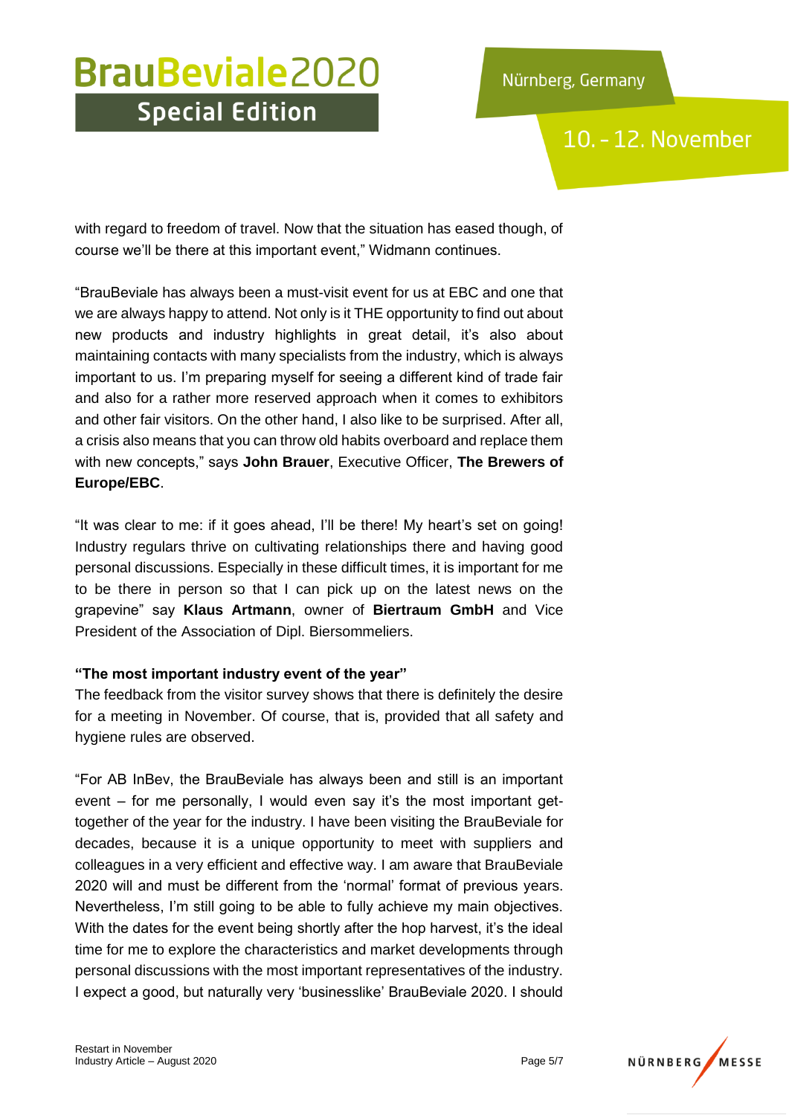10. - 12. November

with regard to freedom of travel. Now that the situation has eased though, of course we'll be there at this important event," Widmann continues.

"BrauBeviale has always been a must-visit event for us at EBC and one that we are always happy to attend. Not only is it THE opportunity to find out about new products and industry highlights in great detail, it's also about maintaining contacts with many specialists from the industry, which is always important to us. I'm preparing myself for seeing a different kind of trade fair and also for a rather more reserved approach when it comes to exhibitors and other fair visitors. On the other hand, I also like to be surprised. After all, a crisis also means that you can throw old habits overboard and replace them with new concepts," says **John Brauer**, Executive Officer, **The Brewers of Europe/EBC**.

"It was clear to me: if it goes ahead, I'll be there! My heart's set on going! Industry regulars thrive on cultivating relationships there and having good personal discussions. Especially in these difficult times, it is important for me to be there in person so that I can pick up on the latest news on the grapevine" say **Klaus Artmann**, owner of **Biertraum GmbH** and Vice President of the Association of Dipl. Biersommeliers.

### **"The most important industry event of the year"**

The feedback from the visitor survey shows that there is definitely the desire for a meeting in November. Of course, that is, provided that all safety and hygiene rules are observed.

"For AB InBev, the BrauBeviale has always been and still is an important event – for me personally, I would even say it's the most important gettogether of the year for the industry. I have been visiting the BrauBeviale for decades, because it is a unique opportunity to meet with suppliers and colleagues in a very efficient and effective way. I am aware that BrauBeviale 2020 will and must be different from the 'normal' format of previous years. Nevertheless, I'm still going to be able to fully achieve my main objectives. With the dates for the event being shortly after the hop harvest, it's the ideal time for me to explore the characteristics and market developments through personal discussions with the most important representatives of the industry. I expect a good, but naturally very 'businesslike' BrauBeviale 2020. I should

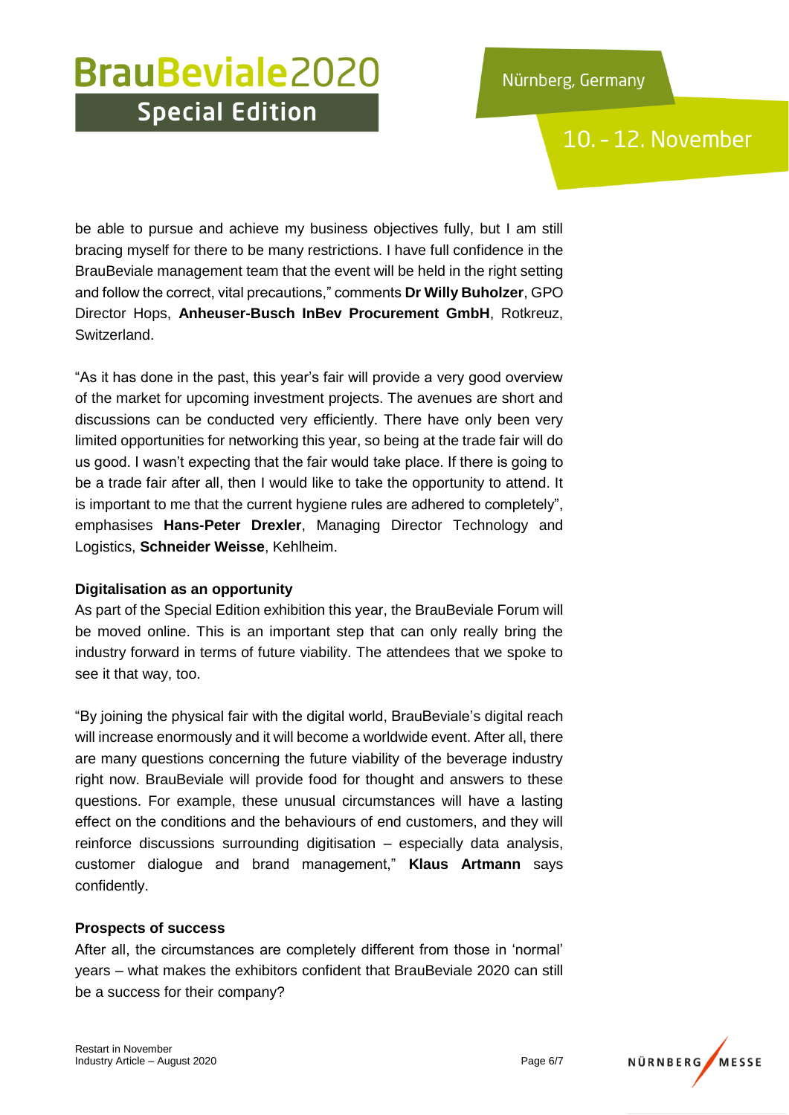10. - 12. November

be able to pursue and achieve my business objectives fully, but I am still bracing myself for there to be many restrictions. I have full confidence in the BrauBeviale management team that the event will be held in the right setting and follow the correct, vital precautions," comments **Dr Willy Buholzer**, GPO Director Hops, **Anheuser-Busch InBev Procurement GmbH**, Rotkreuz, Switzerland.

"As it has done in the past, this year's fair will provide a very good overview of the market for upcoming investment projects. The avenues are short and discussions can be conducted very efficiently. There have only been very limited opportunities for networking this year, so being at the trade fair will do us good. I wasn't expecting that the fair would take place. If there is going to be a trade fair after all, then I would like to take the opportunity to attend. It is important to me that the current hygiene rules are adhered to completely", emphasises **Hans-Peter Drexler**, Managing Director Technology and Logistics, **Schneider Weisse**, Kehlheim.

### **Digitalisation as an opportunity**

As part of the Special Edition exhibition this year, the BrauBeviale Forum will be moved online. This is an important step that can only really bring the industry forward in terms of future viability. The attendees that we spoke to see it that way, too.

"By joining the physical fair with the digital world, BrauBeviale's digital reach will increase enormously and it will become a worldwide event. After all, there are many questions concerning the future viability of the beverage industry right now. BrauBeviale will provide food for thought and answers to these questions. For example, these unusual circumstances will have a lasting effect on the conditions and the behaviours of end customers, and they will reinforce discussions surrounding digitisation – especially data analysis, customer dialogue and brand management," **Klaus Artmann** says confidently.

### **Prospects of success**

After all, the circumstances are completely different from those in 'normal' years – what makes the exhibitors confident that BrauBeviale 2020 can still be a success for their company?